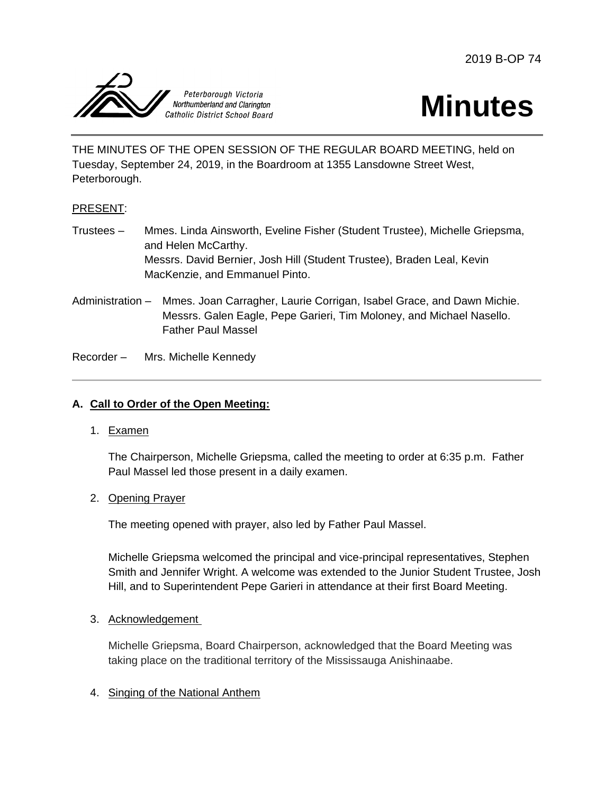2019 B-OP 74





THE MINUTES OF THE OPEN SESSION OF THE REGULAR BOARD MEETING, held on Tuesday, September 24, 2019, in the Boardroom at 1355 Lansdowne Street West, Peterborough.

## PRESENT:

- Trustees Mmes. Linda Ainsworth, Eveline Fisher (Student Trustee), Michelle Griepsma, and Helen McCarthy. Messrs. David Bernier, Josh Hill (Student Trustee), Braden Leal, Kevin MacKenzie, and Emmanuel Pinto.
- Administration Mmes. Joan Carragher, Laurie Corrigan, Isabel Grace, and Dawn Michie. Messrs. Galen Eagle, Pepe Garieri, Tim Moloney, and Michael Nasello. Father Paul Massel

Recorder – Mrs. Michelle Kennedy

## **A. Call to Order of the Open Meeting:**

1. Examen

The Chairperson, Michelle Griepsma, called the meeting to order at 6:35 p.m. Father Paul Massel led those present in a daily examen.

2. Opening Prayer

The meeting opened with prayer, also led by Father Paul Massel.

Michelle Griepsma welcomed the principal and vice-principal representatives, Stephen Smith and Jennifer Wright. A welcome was extended to the Junior Student Trustee, Josh Hill, and to Superintendent Pepe Garieri in attendance at their first Board Meeting.

#### 3. Acknowledgement

Michelle Griepsma, Board Chairperson, acknowledged that the Board Meeting was taking place on the traditional territory of the Mississauga Anishinaabe.

## 4. Singing of the National Anthem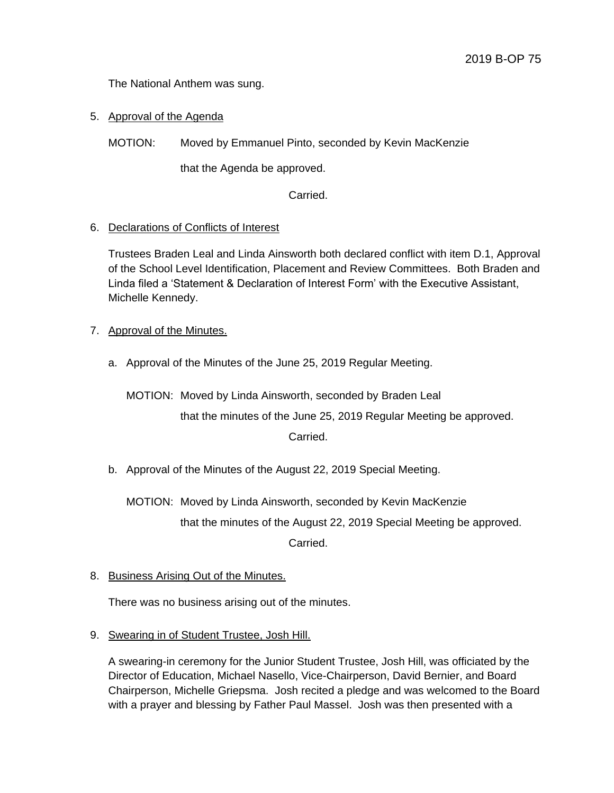The National Anthem was sung.

5. Approval of the Agenda

MOTION: Moved by Emmanuel Pinto, seconded by Kevin MacKenzie

that the Agenda be approved.

Carried.

### 6. Declarations of Conflicts of Interest

Trustees Braden Leal and Linda Ainsworth both declared conflict with item D.1, Approval of the School Level Identification, Placement and Review Committees. Both Braden and Linda filed a 'Statement & Declaration of Interest Form' with the Executive Assistant, Michelle Kennedy.

- 7. Approval of the Minutes.
	- a. Approval of the Minutes of the June 25, 2019 Regular Meeting.

MOTION: Moved by Linda Ainsworth, seconded by Braden Leal that the minutes of the June 25, 2019 Regular Meeting be approved. Carried.

b. Approval of the Minutes of the August 22, 2019 Special Meeting.

MOTION: Moved by Linda Ainsworth, seconded by Kevin MacKenzie that the minutes of the August 22, 2019 Special Meeting be approved. Carried.

8. Business Arising Out of the Minutes.

There was no business arising out of the minutes.

9. Swearing in of Student Trustee, Josh Hill.

A swearing-in ceremony for the Junior Student Trustee, Josh Hill, was officiated by the Director of Education, Michael Nasello, Vice-Chairperson, David Bernier, and Board Chairperson, Michelle Griepsma. Josh recited a pledge and was welcomed to the Board with a prayer and blessing by Father Paul Massel. Josh was then presented with a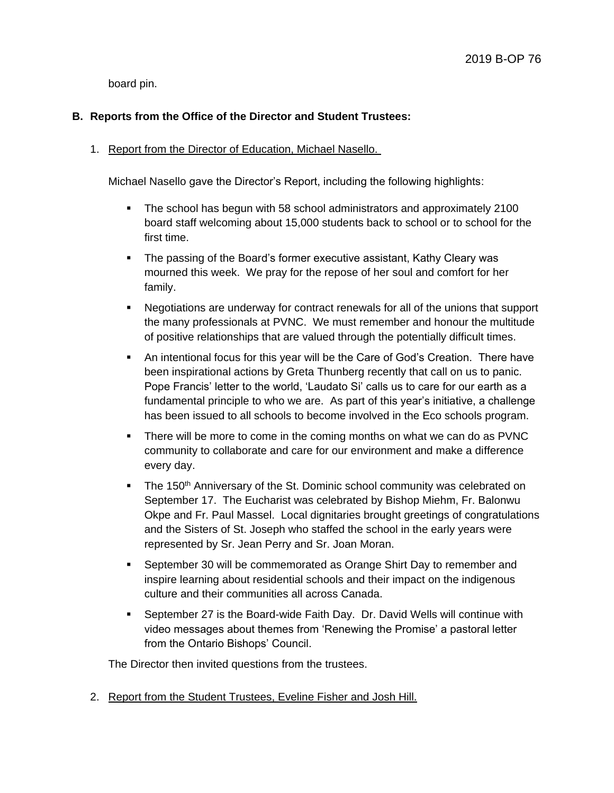board pin.

# **B. Reports from the Office of the Director and Student Trustees:**

## 1. Report from the Director of Education, Michael Nasello.

Michael Nasello gave the Director's Report, including the following highlights:

- The school has begun with 58 school administrators and approximately 2100 board staff welcoming about 15,000 students back to school or to school for the first time.
- The passing of the Board's former executive assistant, Kathy Cleary was mourned this week. We pray for the repose of her soul and comfort for her family.
- Negotiations are underway for contract renewals for all of the unions that support the many professionals at PVNC. We must remember and honour the multitude of positive relationships that are valued through the potentially difficult times.
- An intentional focus for this year will be the Care of God's Creation. There have been inspirational actions by Greta Thunberg recently that call on us to panic. Pope Francis' letter to the world, 'Laudato Si' calls us to care for our earth as a fundamental principle to who we are. As part of this year's initiative, a challenge has been issued to all schools to become involved in the Eco schools program.
- There will be more to come in the coming months on what we can do as PVNC community to collaborate and care for our environment and make a difference every day.
- The 150<sup>th</sup> Anniversary of the St. Dominic school community was celebrated on September 17. The Eucharist was celebrated by Bishop Miehm, Fr. Balonwu Okpe and Fr. Paul Massel. Local dignitaries brought greetings of congratulations and the Sisters of St. Joseph who staffed the school in the early years were represented by Sr. Jean Perry and Sr. Joan Moran.
- September 30 will be commemorated as Orange Shirt Day to remember and inspire learning about residential schools and their impact on the indigenous culture and their communities all across Canada.
- September 27 is the Board-wide Faith Day. Dr. David Wells will continue with video messages about themes from 'Renewing the Promise' a pastoral letter from the Ontario Bishops' Council.

The Director then invited questions from the trustees.

2. Report from the Student Trustees, Eveline Fisher and Josh Hill.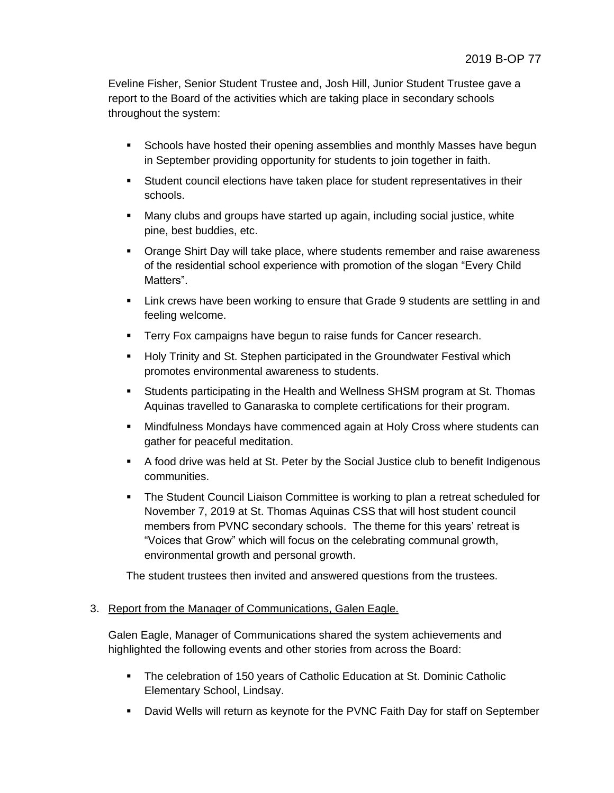Eveline Fisher, Senior Student Trustee and, Josh Hill, Junior Student Trustee gave a report to the Board of the activities which are taking place in secondary schools throughout the system:

- **Schools have hosted their opening assemblies and monthly Masses have begun** in September providing opportunity for students to join together in faith.
- Student council elections have taken place for student representatives in their schools.
- Many clubs and groups have started up again, including social justice, white pine, best buddies, etc.
- **Orange Shirt Day will take place, where students remember and raise awareness** of the residential school experience with promotion of the slogan "Every Child Matters".
- Link crews have been working to ensure that Grade 9 students are settling in and feeling welcome.
- **Terry Fox campaigns have begun to raise funds for Cancer research.**
- **Holy Trinity and St. Stephen participated in the Groundwater Festival which** promotes environmental awareness to students.
- Students participating in the Health and Wellness SHSM program at St. Thomas Aquinas travelled to Ganaraska to complete certifications for their program.
- Mindfulness Mondays have commenced again at Holy Cross where students can gather for peaceful meditation.
- A food drive was held at St. Peter by the Social Justice club to benefit Indigenous communities.
- The Student Council Liaison Committee is working to plan a retreat scheduled for November 7, 2019 at St. Thomas Aquinas CSS that will host student council members from PVNC secondary schools. The theme for this years' retreat is "Voices that Grow" which will focus on the celebrating communal growth, environmental growth and personal growth.

The student trustees then invited and answered questions from the trustees.

## 3. Report from the Manager of Communications, Galen Eagle.

Galen Eagle, Manager of Communications shared the system achievements and highlighted the following events and other stories from across the Board:

- The celebration of 150 years of Catholic Education at St. Dominic Catholic Elementary School, Lindsay.
- David Wells will return as keynote for the PVNC Faith Day for staff on September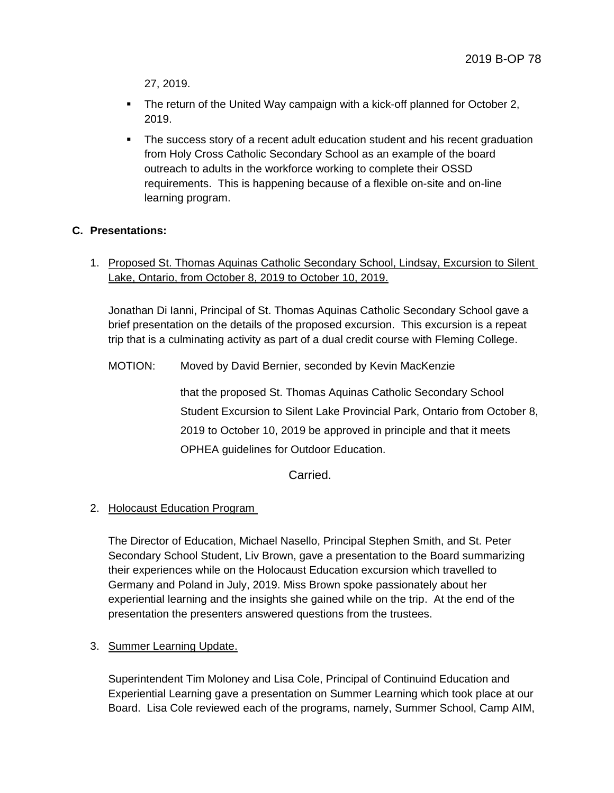27, 2019.

- The return of the United Way campaign with a kick-off planned for October 2, 2019.
- The success story of a recent adult education student and his recent graduation from Holy Cross Catholic Secondary School as an example of the board outreach to adults in the workforce working to complete their OSSD requirements. This is happening because of a flexible on-site and on-line learning program.

## **C. Presentations:**

1. Proposed St. Thomas Aquinas Catholic Secondary School, Lindsay, Excursion to Silent Lake, Ontario, from October 8, 2019 to October 10, 2019.

Jonathan Di Ianni, Principal of St. Thomas Aquinas Catholic Secondary School gave a brief presentation on the details of the proposed excursion. This excursion is a repeat trip that is a culminating activity as part of a dual credit course with Fleming College.

MOTION: Moved by David Bernier, seconded by Kevin MacKenzie

that the proposed St. Thomas Aquinas Catholic Secondary School Student Excursion to Silent Lake Provincial Park, Ontario from October 8, 2019 to October 10, 2019 be approved in principle and that it meets OPHEA guidelines for Outdoor Education.

Carried.

#### 2. Holocaust Education Program

The Director of Education, Michael Nasello, Principal Stephen Smith, and St. Peter Secondary School Student, Liv Brown, gave a presentation to the Board summarizing their experiences while on the Holocaust Education excursion which travelled to Germany and Poland in July, 2019. Miss Brown spoke passionately about her experiential learning and the insights she gained while on the trip. At the end of the presentation the presenters answered questions from the trustees.

#### 3. Summer Learning Update.

Superintendent Tim Moloney and Lisa Cole, Principal of Continuind Education and Experiential Learning gave a presentation on Summer Learning which took place at our Board. Lisa Cole reviewed each of the programs, namely, Summer School, Camp AIM,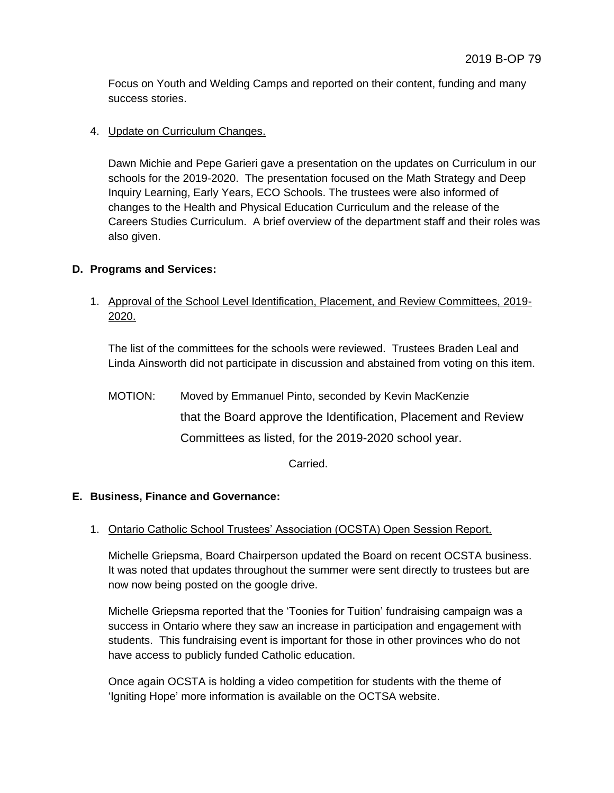Focus on Youth and Welding Camps and reported on their content, funding and many success stories.

## 4. Update on Curriculum Changes.

Dawn Michie and Pepe Garieri gave a presentation on the updates on Curriculum in our schools for the 2019-2020. The presentation focused on the Math Strategy and Deep Inquiry Learning, Early Years, ECO Schools. The trustees were also informed of changes to the Health and Physical Education Curriculum and the release of the Careers Studies Curriculum. A brief overview of the department staff and their roles was also given.

### **D. Programs and Services:**

1. Approval of the School Level Identification, Placement, and Review Committees, 2019- 2020.

The list of the committees for the schools were reviewed. Trustees Braden Leal and Linda Ainsworth did not participate in discussion and abstained from voting on this item.

MOTION: Moved by Emmanuel Pinto, seconded by Kevin MacKenzie that the Board approve the Identification, Placement and Review Committees as listed, for the 2019-2020 school year.

Carried.

#### **E. Business, Finance and Governance:**

#### 1. Ontario Catholic School Trustees' Association (OCSTA) Open Session Report.

Michelle Griepsma, Board Chairperson updated the Board on recent OCSTA business. It was noted that updates throughout the summer were sent directly to trustees but are now now being posted on the google drive.

Michelle Griepsma reported that the 'Toonies for Tuition' fundraising campaign was a success in Ontario where they saw an increase in participation and engagement with students. This fundraising event is important for those in other provinces who do not have access to publicly funded Catholic education.

Once again OCSTA is holding a video competition for students with the theme of 'Igniting Hope' more information is available on the OCTSA website.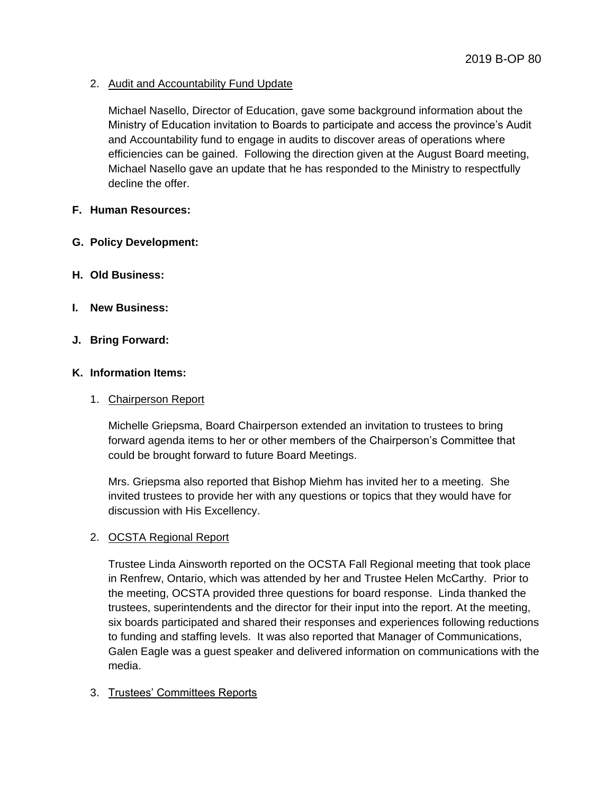2. Audit and Accountability Fund Update

Michael Nasello, Director of Education, gave some background information about the Ministry of Education invitation to Boards to participate and access the province's Audit and Accountability fund to engage in audits to discover areas of operations where efficiencies can be gained. Following the direction given at the August Board meeting, Michael Nasello gave an update that he has responded to the Ministry to respectfully decline the offer.

### **F. Human Resources:**

- **G. Policy Development:**
- **H. Old Business:**
- **I. New Business:**

### **J. Bring Forward:**

#### **K. Information Items:**

#### 1. Chairperson Report

Michelle Griepsma, Board Chairperson extended an invitation to trustees to bring forward agenda items to her or other members of the Chairperson's Committee that could be brought forward to future Board Meetings.

Mrs. Griepsma also reported that Bishop Miehm has invited her to a meeting. She invited trustees to provide her with any questions or topics that they would have for discussion with His Excellency.

#### 2. OCSTA Regional Report

Trustee Linda Ainsworth reported on the OCSTA Fall Regional meeting that took place in Renfrew, Ontario, which was attended by her and Trustee Helen McCarthy. Prior to the meeting, OCSTA provided three questions for board response. Linda thanked the trustees, superintendents and the director for their input into the report. At the meeting, six boards participated and shared their responses and experiences following reductions to funding and staffing levels. It was also reported that Manager of Communications, Galen Eagle was a guest speaker and delivered information on communications with the media.

#### 3. Trustees' Committees Reports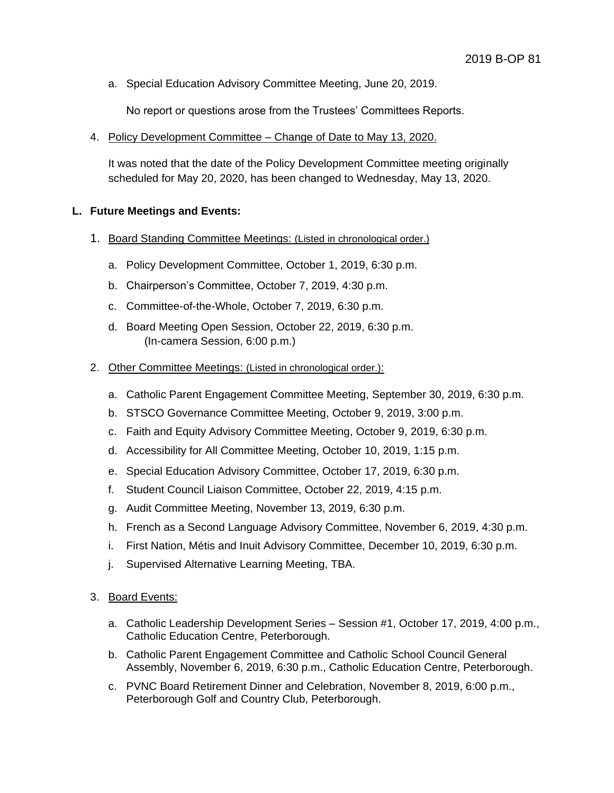a. Special Education Advisory Committee Meeting, June 20, 2019.

No report or questions arose from the Trustees' Committees Reports.

4. Policy Development Committee – Change of Date to May 13, 2020.

It was noted that the date of the Policy Development Committee meeting originally scheduled for May 20, 2020, has been changed to Wednesday, May 13, 2020.

### **L. Future Meetings and Events:**

- 1. Board Standing Committee Meetings: (Listed in chronological order.)
	- a. Policy Development Committee, October 1, 2019, 6:30 p.m.
	- b. Chairperson's Committee, October 7, 2019, 4:30 p.m.
	- c. Committee-of-the-Whole, October 7, 2019, 6:30 p.m.
	- d. Board Meeting Open Session, October 22, 2019, 6:30 p.m. (In-camera Session, 6:00 p.m.)
- 2. Other Committee Meetings: (Listed in chronological order.):
	- a. Catholic Parent Engagement Committee Meeting, September 30, 2019, 6:30 p.m.
	- b. STSCO Governance Committee Meeting, October 9, 2019, 3:00 p.m.
	- c. Faith and Equity Advisory Committee Meeting, October 9, 2019, 6:30 p.m.
	- d. Accessibility for All Committee Meeting, October 10, 2019, 1:15 p.m.
	- e. Special Education Advisory Committee, October 17, 2019, 6:30 p.m.
	- f. Student Council Liaison Committee, October 22, 2019, 4:15 p.m.
	- g. Audit Committee Meeting, November 13, 2019, 6:30 p.m.
	- h. French as a Second Language Advisory Committee, November 6, 2019, 4:30 p.m.
	- i. First Nation, Métis and Inuit Advisory Committee, December 10, 2019, 6:30 p.m.
	- j. Supervised Alternative Learning Meeting, TBA.
- 3. Board Events:
	- a. Catholic Leadership Development Series Session #1, October 17, 2019, 4:00 p.m., Catholic Education Centre, Peterborough.
	- b. Catholic Parent Engagement Committee and Catholic School Council General Assembly, November 6, 2019, 6:30 p.m., Catholic Education Centre, Peterborough.
	- c. PVNC Board Retirement Dinner and Celebration, November 8, 2019, 6:00 p.m., Peterborough Golf and Country Club, Peterborough.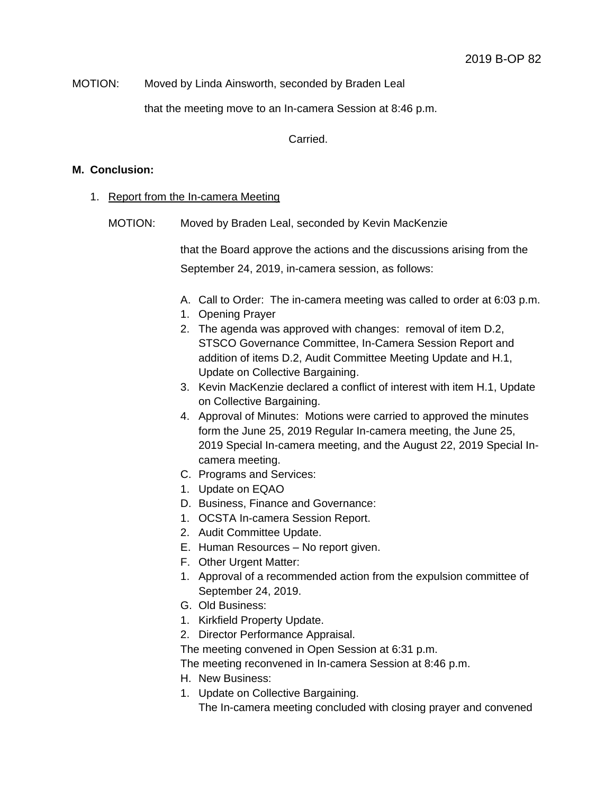#### MOTION: Moved by Linda Ainsworth, seconded by Braden Leal

that the meeting move to an In-camera Session at 8:46 p.m.

Carried.

#### **M. Conclusion:**

- 1. Report from the In-camera Meeting
	- MOTION: Moved by Braden Leal, seconded by Kevin MacKenzie

that the Board approve the actions and the discussions arising from the September 24, 2019, in-camera session, as follows:

- A. Call to Order: The in-camera meeting was called to order at 6:03 p.m.
- 1. Opening Prayer
- 2. The agenda was approved with changes: removal of item D.2, STSCO Governance Committee, In-Camera Session Report and addition of items D.2, Audit Committee Meeting Update and H.1, Update on Collective Bargaining.
- 3. Kevin MacKenzie declared a conflict of interest with item H.1, Update on Collective Bargaining.
- 4. Approval of Minutes: Motions were carried to approved the minutes form the June 25, 2019 Regular In-camera meeting, the June 25, 2019 Special In-camera meeting, and the August 22, 2019 Special Incamera meeting.
- C. Programs and Services:
- 1. Update on EQAO
- D. Business, Finance and Governance:
- 1. OCSTA In-camera Session Report.
- 2. Audit Committee Update.
- E. Human Resources No report given.
- F. Other Urgent Matter:
- 1. Approval of a recommended action from the expulsion committee of September 24, 2019.
- G. Old Business:
- 1. Kirkfield Property Update.
- 2. Director Performance Appraisal.

The meeting convened in Open Session at 6:31 p.m.

The meeting reconvened in In-camera Session at 8:46 p.m.

- H. New Business:
- 1. Update on Collective Bargaining.

The In-camera meeting concluded with closing prayer and convened